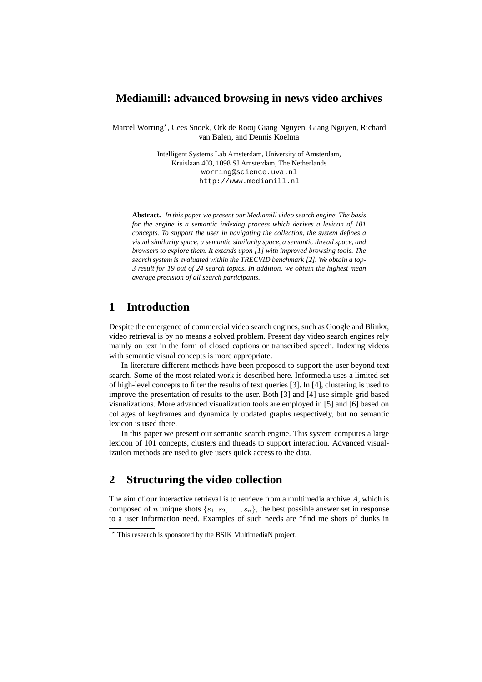### **Mediamill: advanced browsing in news video archives**

Marcel Worring\*, Cees Snoek, Ork de Rooij Giang Nguyen, Giang Nguyen, Richard van Balen, and Dennis Koelma

> Intelligent Systems Lab Amsterdam, University of Amsterdam, Kruislaan 403, 1098 SJ Amsterdam, The Netherlands worring@science.uva.nl http://www.mediamill.nl

**Abstract.** *In this paper we present our Mediamill video search engine. The basis for the engine is a semantic indexing process which derives a lexicon of 101 concepts. To support the user in navigating the collection, the system defines a visual similarity space, a semantic similarity space, a semantic thread space, and browsers to explore them. It extends upon [1] with improved browsing tools. The search system is evaluated within the TRECVID benchmark [2]. We obtain a top-3 result for 19 out of 24 search topics. In addition, we obtain the highest mean average precision of all search participants.*

# **1 Introduction**

Despite the emergence of commercial video search engines, such as Google and Blinkx, video retrieval is by no means a solved problem. Present day video search engines rely mainly on text in the form of closed captions or transcribed speech. Indexing videos with semantic visual concepts is more appropriate.

In literature different methods have been proposed to support the user beyond text search. Some of the most related work is described here. Informedia uses a limited set of high-level concepts to filter the results of text queries [3]. In [4], clustering is used to improve the presentation of results to the user. Both [3] and [4] use simple grid based visualizations. More advanced visualization tools are employed in [5] and [6] based on collages of keyframes and dynamically updated graphs respectively, but no semantic lexicon is used there.

In this paper we present our semantic search engine. This system computes a large lexicon of 101 concepts, clusters and threads to support interaction. Advanced visualization methods are used to give users quick access to the data.

## **2 Structuring the video collection**

The aim of our interactive retrieval is to retrieve from a multimedia archive A, which is composed of n unique shots  $\{s_1, s_2, \ldots, s_n\}$ , the best possible answer set in response to a user information need. Examples of such needs are "find me shots of dunks in

<sup>?</sup> This research is sponsored by the BSIK MultimediaN project.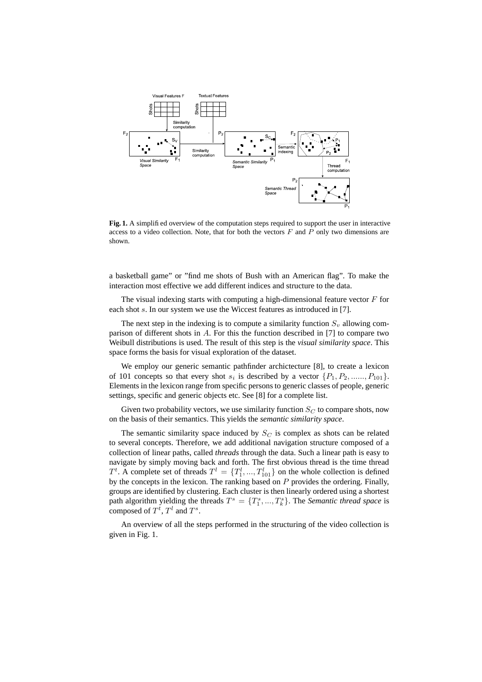

**Fig. 1.** A simplified overview of the computation steps required to support the user in interactive access to a video collection. Note, that for both the vectors  $F$  and  $P$  only two dimensions are shown.

a basketball game" or "find me shots of Bush with an American flag". To make the interaction most effective we add different indices and structure to the data.

The visual indexing starts with computing a high-dimensional feature vector  $F$  for each shot s. In our system we use the Wiccest features as introduced in [7].

The next step in the indexing is to compute a similarity function  $S<sub>v</sub>$  allowing comparison of different shots in A. For this the function described in [7] to compare two Weibull distributions is used. The result of this step is the *visual similarity space*. This space forms the basis for visual exploration of the dataset.

We employ our generic semantic pathfinder archictecture [8], to create a lexicon of 101 concepts so that every shot  $s_i$  is described by a vector  $\{P_1, P_2, \ldots, P_{101}\}.$ Elements in the lexicon range from specific persons to generic classes of people, generic settings, specific and generic objects etc. See [8] for a complete list.

Given two probability vectors, we use similarity function  $S_C$  to compare shots, now on the basis of their semantics. This yields the *semantic similarity space*.

The semantic similarity space induced by  $S_C$  is complex as shots can be related to several concepts. Therefore, we add additional navigation structure composed of a collection of linear paths, called *threads* through the data. Such a linear path is easy to navigate by simply moving back and forth. The first obvious thread is the time thread  $T^t$ . A complete set of threads  $T^l = \{T_1^l, ..., T_{101}^l\}$  on the whole collection is defined by the concepts in the lexicon. The ranking based on  $P$  provides the ordering. Finally, groups are identified by clustering. Each cluster is then linearly ordered using a shortest path algorithm yielding the threads  $T^s = \{T_1^s, ..., T_k^s\}$ . The *Semantic thread space* is composed of  $T^t$ ,  $T^l$  and  $T^s$ .

An overview of all the steps performed in the structuring of the video collection is given in Fig. 1.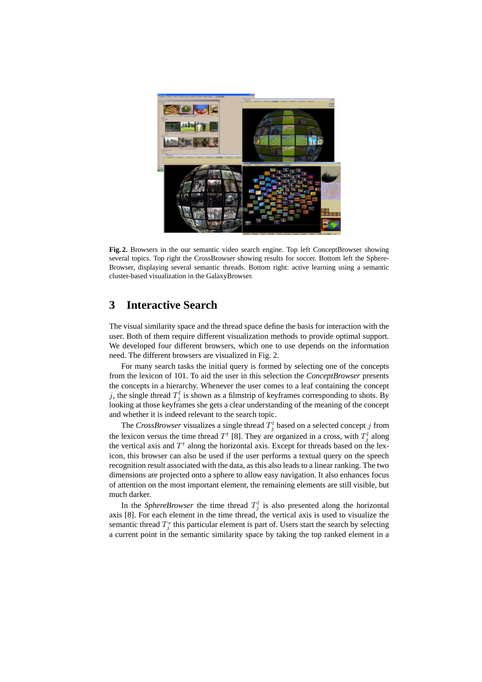

**Fig. 2.** Browsers in the our semantic video search engine. Top left ConceptBrowser showing several topics. Top right the CrossBrowser showing results for soccer. Bottom left the Sphere-Browser, displaying several semantic threads. Bottom right: active learning using a semantic cluster-based visualization in the GalaxyBrowser.

## **3 Interactive Search**

The visual similarity space and the thread space define the basis for interaction with the user. Both of them require different visualization methods to provide optimal support. We developed four different browsers, which one to use depends on the information need. The different browsers are visualized in Fig. 2.

For many search tasks the initial query is formed by selecting one of the concepts from the lexicon of 101. To aid the user in this selection the *ConceptBrowser* presents the concepts in a hierarchy. Whenever the user comes to a leaf containing the concept j, the single thread  $T_j^l$  is shown as a filmstrip of keyframes corresponding to shots. By looking at those keyframes she gets a clear understanding of the meaning of the concept and whether it is indeed relevant to the search topic.

The *CrossBrowser* visualizes a single thread  $T_j^l$  based on a selected concept j from the lexicon versus the time thread  $T^t$  [8]. They are organized in a cross, with  $T_j^l$  along the vertical axis and  $T<sup>t</sup>$  along the horizontal axis. Except for threads based on the lexicon, this browser can also be used if the user performs a textual query on the speech recognition result associated with the data, as this also leads to a linear ranking. The two dimensions are projected onto a sphere to allow easy navigation. It also enhances focus of attention on the most important element, the remaining elements are still visible, but much darker.

In the *SphereBrowser* the time thread  $T_j^l$  is also presented along the horizontal axis [8]. For each element in the time thread, the vertical axis is used to visualize the semantic thread  $T_j^s$  this particular element is part of. Users start the search by selecting a current point in the semantic similarity space by taking the top ranked element in a